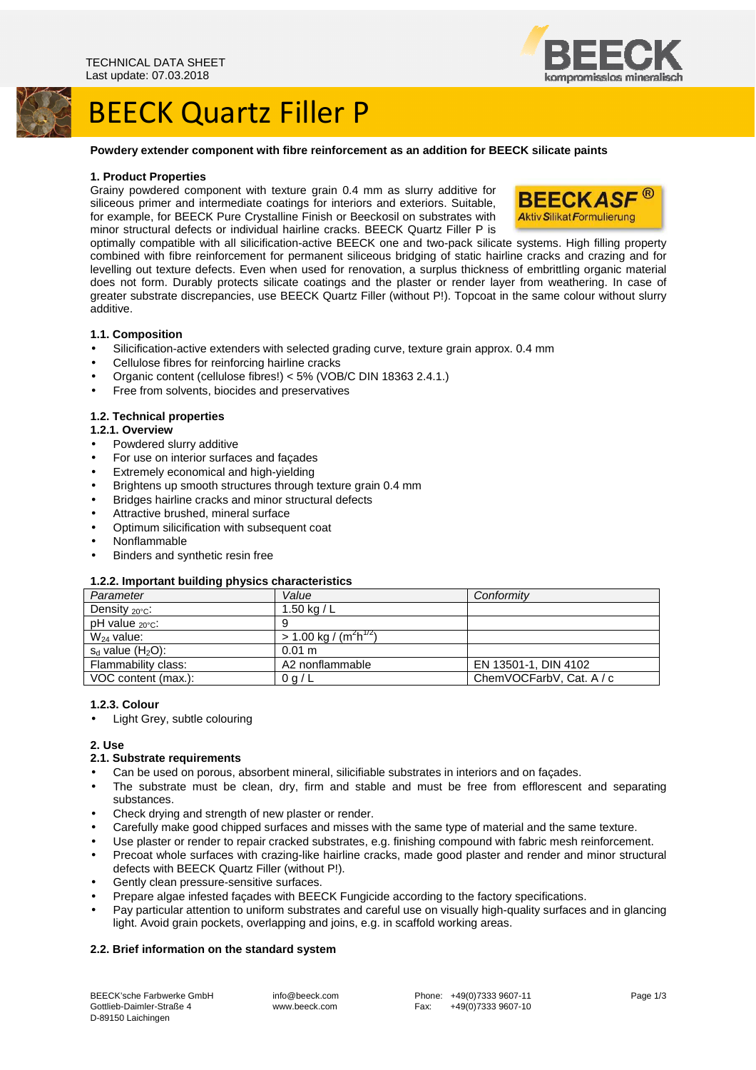## BEECK Quartz Filler P

### **Powdery extender component with fibre reinforcement as an addition for BEECK silicate paints**

#### **1. Product Properties**

Grainy powdered component with texture grain 0.4 mm as slurry additive for siliceous primer and intermediate coatings for interiors and exteriors. Suitable, for example, for BEECK Pure Crystalline Finish or Beeckosil on substrates with minor structural defects or individual hairline cracks. BEECK Quartz Filler P is



optimally compatible with all silicification-active BEECK one and two-pack silicate systems. High filling property combined with fibre reinforcement for permanent siliceous bridging of static hairline cracks and crazing and for levelling out texture defects. Even when used for renovation, a surplus thickness of embrittling organic material does not form. Durably protects silicate coatings and the plaster or render layer from weathering. In case of greater substrate discrepancies, use BEECK Quartz Filler (without P!). Topcoat in the same colour without slurry additive.

### **1.1. Composition**

- Silicification-active extenders with selected grading curve, texture grain approx. 0.4 mm
- Cellulose fibres for reinforcing hairline cracks
- Organic content (cellulose fibres!) < 5% (VOB/C DIN 18363 2.4.1.)
- Free from solvents, biocides and preservatives

### **1.2. Technical properties**

#### **1.2.1. Overview**

- Powdered slurry additive
- For use on interior surfaces and façades
- Extremely economical and high-yielding
- Brightens up smooth structures through texture grain 0.4 mm
- Bridges hairline cracks and minor structural defects
- Attractive brushed, mineral surface
- Optimum silicification with subsequent coat
- Nonflammable
- Binders and synthetic resin free

#### **1.2.2. Important building physics characteristics**

| . .                        |                                                |                          |
|----------------------------|------------------------------------------------|--------------------------|
| Parameter                  | Value                                          | Conformity               |
| Density $_{20^{\circ}C}$ : | 1.50 kg / $L$                                  |                          |
| $pH$ value $20^{\circ}$ c: |                                                |                          |
| $W_{24}$ value:            | > 1.00 kg / (m <sup>2</sup> h <sup>172</sup> ) |                          |
| $s_d$ value $(H_2O)$ :     | $0.01 \text{ m}$                               |                          |
| Flammability class:        | A2 nonflammable                                | EN 13501-1, DIN 4102     |
| VOC content (max.):        | 0 g/L                                          | ChemVOCFarbV, Cat. A / c |
|                            |                                                |                          |

#### **1.2.3. Colour**

• Light Grey, subtle colouring

**2. Use** 

#### **2.1. Substrate requirements**

- Can be used on porous, absorbent mineral, silicifiable substrates in interiors and on façades.
- The substrate must be clean, dry, firm and stable and must be free from efflorescent and separating substances.
- Check drying and strength of new plaster or render.
- Carefully make good chipped surfaces and misses with the same type of material and the same texture.
- Use plaster or render to repair cracked substrates, e.g. finishing compound with fabric mesh reinforcement.
- Precoat whole surfaces with crazing-like hairline cracks, made good plaster and render and minor structural defects with BEECK Quartz Filler (without P!).
- Gently clean pressure-sensitive surfaces.
- Prepare algae infested façades with BEECK Fungicide according to the factory specifications.
- Pay particular attention to uniform substrates and careful use on visually high-quality surfaces and in glancing light. Avoid grain pockets, overlapping and joins, e.g. in scaffold working areas.

### **2.2. Brief information on the standard system**

BEECK'sche Farbwerke GmbH Gottlieb-Daimler-Straße 4 D-89150 Laichingen

 info@beeck.com www.beeck.com



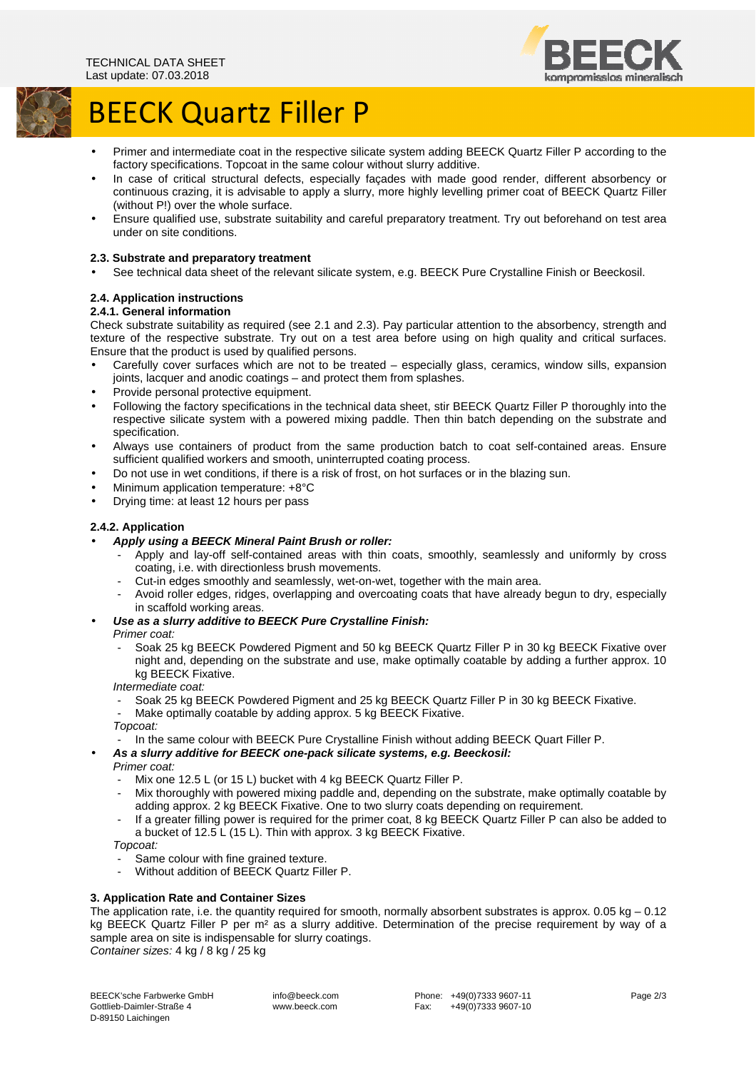



# BEECK Quartz Filler P

- Primer and intermediate coat in the respective silicate system adding BEECK Quartz Filler P according to the factory specifications. Topcoat in the same colour without slurry additive.
- In case of critical structural defects, especially façades with made good render, different absorbency or continuous crazing, it is advisable to apply a slurry, more highly levelling primer coat of BEECK Quartz Filler (without P!) over the whole surface.
- Ensure qualified use, substrate suitability and careful preparatory treatment. Try out beforehand on test area under on site conditions.

## **2.3. Substrate and preparatory treatment**

• See technical data sheet of the relevant silicate system, e.g. BEECK Pure Crystalline Finish or Beeckosil.

## **2.4. Application instructions**

## **2.4.1. General information**

Check substrate suitability as required (see 2.1 and 2.3). Pay particular attention to the absorbency, strength and texture of the respective substrate. Try out on a test area before using on high quality and critical surfaces. Ensure that the product is used by qualified persons.

- Carefully cover surfaces which are not to be treated especially glass, ceramics, window sills, expansion joints, lacquer and anodic coatings – and protect them from splashes.
- Provide personal protective equipment.
- Following the factory specifications in the technical data sheet, stir BEECK Quartz Filler P thoroughly into the respective silicate system with a powered mixing paddle. Then thin batch depending on the substrate and specification.
- Always use containers of product from the same production batch to coat self-contained areas. Ensure sufficient qualified workers and smooth, uninterrupted coating process.
- Do not use in wet conditions, if there is a risk of frost, on hot surfaces or in the blazing sun.
- Minimum application temperature: +8°C
- Drying time: at least 12 hours per pass

## **2.4.2. Application**

## • **Apply using a BEECK Mineral Paint Brush or roller:**

- Apply and lay-off self-contained areas with thin coats, smoothly, seamlessly and uniformly by cross coating, i.e. with directionless brush movements.
- Cut-in edges smoothly and seamlessly, wet-on-wet, together with the main area.
- Avoid roller edges, ridges, overlapping and overcoating coats that have already begun to dry, especially in scaffold working areas.

## • **Use as a slurry additive to BEECK Pure Crystalline Finish:**

- Primer coat:
	- Soak 25 kg BEECK Powdered Pigment and 50 kg BEECK Quartz Filler P in 30 kg BEECK Fixative over night and, depending on the substrate and use, make optimally coatable by adding a further approx. 10 kg BEECK Fixative.

Intermediate coat:

- Soak 25 kg BEECK Powdered Pigment and 25 kg BEECK Quartz Filler P in 30 kg BEECK Fixative. Make optimally coatable by adding approx. 5 kg BEECK Fixative.

Topcoat:

- In the same colour with BEECK Pure Crystalline Finish without adding BEECK Quart Filler P.
- **As a slurry additive for BEECK one-pack silicate systems, e.g. Beeckosil:**
- Primer coat:
	- Mix one 12.5 L (or 15 L) bucket with 4 kg BEECK Quartz Filler P.
	- Mix thoroughly with powered mixing paddle and, depending on the substrate, make optimally coatable by adding approx. 2 kg BEECK Fixative. One to two slurry coats depending on requirement.
	- If a greater filling power is required for the primer coat, 8 kg BEECK Quartz Filler P can also be added to a bucket of 12.5 L (15 L). Thin with approx. 3 kg BEECK Fixative.

Topcoat:

- Same colour with fine grained texture.
- Without addition of BEECK Quartz Filler P.

## **3. Application Rate and Container Sizes**

The application rate, i.e. the quantity required for smooth, normally absorbent substrates is approx.  $0.05 \text{ kg} - 0.12$ kg BEECK Quartz Filler P per m<sup>2</sup> as a slurry additive. Determination of the precise requirement by way of a sample area on site is indispensable for slurry coatings. Container sizes: 4 kg / 8 kg / 25 kg